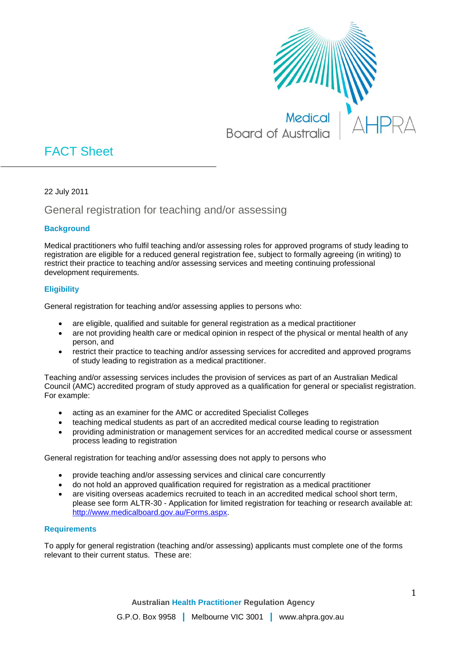

# FACT Sheet

22 July 2011

# General registration for teaching and/or assessing

# **Background**

Medical practitioners who fulfil teaching and/or assessing roles for approved programs of study leading to registration are eligible for a reduced general registration fee, subject to formally agreeing (in writing) to restrict their practice to teaching and/or assessing services and meeting continuing professional development requirements.

## **Eligibility**

General registration for teaching and/or assessing applies to persons who:

- are eligible, qualified and suitable for general registration as a medical practitioner
- are not providing health care or medical opinion in respect of the physical or mental health of any person, and
- restrict their practice to teaching and/or assessing services for accredited and approved programs of study leading to registration as a medical practitioner.

Teaching and/or assessing services includes the provision of services as part of an Australian Medical Council (AMC) accredited program of study approved as a qualification for general or specialist registration. For example:

- acting as an examiner for the AMC or accredited Specialist Colleges
- teaching medical students as part of an accredited medical course leading to registration
- providing administration or management services for an accredited medical course or assessment process leading to registration

General registration for teaching and/or assessing does not apply to persons who

- provide teaching and/or assessing services and clinical care concurrently
- do not hold an approved qualification required for registration as a medical practitioner
- are visiting overseas academics recruited to teach in an accredited medical school short term, please see form ALTR-30 - Application for limited registration for teaching or research available at: [http://www.medicalboard.gov.au/Forms.aspx.](http://www.medicalboard.gov.au/Forms.aspx)

### **Requirements**

To apply for general registration (teaching and/or assessing) applicants must complete one of the forms relevant to their current status. These are: